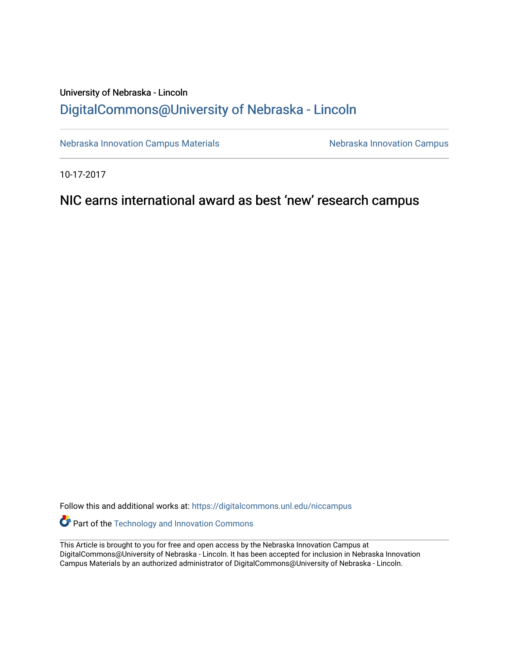## University of Nebraska - Lincoln [DigitalCommons@University of Nebraska - Lincoln](https://digitalcommons.unl.edu/)

[Nebraska Innovation Campus Materials](https://digitalcommons.unl.edu/niccampus) Nebraska Innovation Campus

10-17-2017

NIC earns international award as best 'new' research campus

Follow this and additional works at: [https://digitalcommons.unl.edu/niccampus](https://digitalcommons.unl.edu/niccampus?utm_source=digitalcommons.unl.edu%2Fniccampus%2F36&utm_medium=PDF&utm_campaign=PDFCoverPages) 

**Part of the [Technology and Innovation Commons](http://network.bepress.com/hgg/discipline/644?utm_source=digitalcommons.unl.edu%2Fniccampus%2F36&utm_medium=PDF&utm_campaign=PDFCoverPages)** 

This Article is brought to you for free and open access by the Nebraska Innovation Campus at DigitalCommons@University of Nebraska - Lincoln. It has been accepted for inclusion in Nebraska Innovation Campus Materials by an authorized administrator of DigitalCommons@University of Nebraska - Lincoln.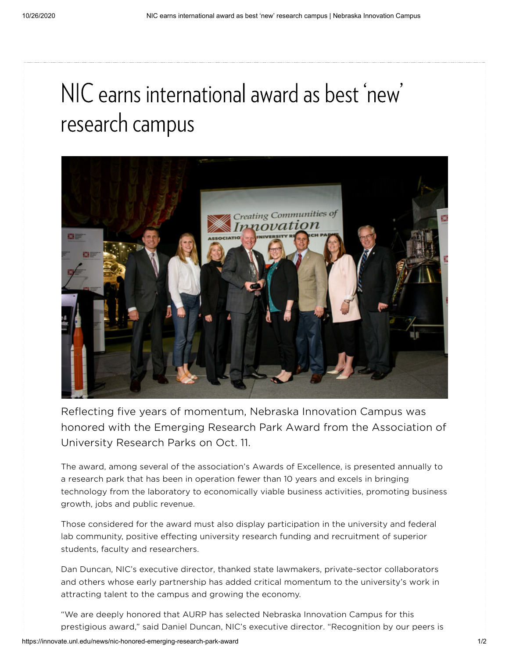# NIC earns international award as best 'new'  $\frac{1}{2}$ ' research campus



Reflecting five years of momentum, Nebraska Innovation Campus was honored with the Emerging Research Park Award from the Association of University Research Parks on Oct. 11.

The award, among several of the association's Awards of Excellence, is presented annually to a research park that has been in operation fewer than 10 years and excels in bringing technology from the laboratory to economically viable business activities, promoting business growth, jobs and public revenue.

Those considered for the award must also display participation in the university and federal lab community, positive effecting university research funding and recruitment of superior students, faculty and researchers.

Dan Duncan, NIC's executive director, thanked state lawmakers, private-sector collaborators and others whose early partnership has added critical momentum to the university's work in attracting talent to the campus and growing the economy.

"We are deeply honored that AURP has selected Nebraska Innovation Campus for this prestigious award," said Daniel Duncan, NIC's executive director. "Recognition by our peers is